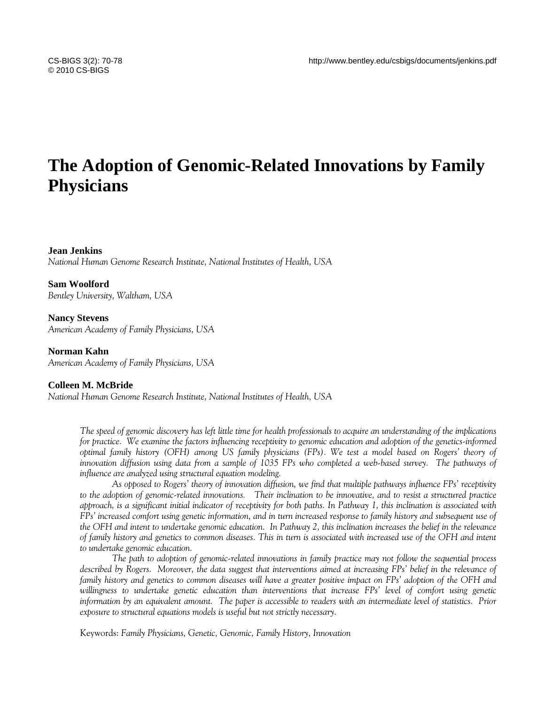# **The Adoption of Genomic-Related Innovations by Family Physicians**

# **Jean Jenkins**

*National Human Genome Research Institute, National Institutes of Health, USA* 

**Sam Woolford**  *Bentley University, Waltham, USA* 

**Nancy Stevens**  *American Academy of Family Physicians, USA* 

# **Norman Kahn**

*American Academy of Family Physicians, USA* 

# **Colleen M. McBride**

*National Human Genome Research Institute, National Institutes of Health, USA* 

*The speed of genomic discovery has left little time for health professionals to acquire an understanding of the implications for practice. We examine the factors influencing receptivity to genomic education and adoption of the genetics-informed optimal family history (OFH) among US family physicians (FPs). We test a model based on Rogers' theory of innovation diffusion using data from a sample of 1035 FPs who completed a web-based survey. The pathways of influence are analyzed using structural equation modeling.* 

*As opposed to Rogers' theory of innovation diffusion, we find that multiple pathways influence FPs' receptivity to the adoption of genomic-related innovations. Their inclination to be innovative, and to resist a structured practice approach, is a significant initial indicator of receptivity for both paths. In Pathway 1, this inclination is associated with FPs' increased comfort using genetic information, and in turn increased response to family history and subsequent use of the OFH and intent to undertake genomic education. In Pathway 2, this inclination increases the belief in the relevance of family history and genetics to common diseases. This in turn is associated with increased use of the OFH and intent to undertake genomic education.* 

*The path to adoption of genomic-related innovations in family practice may not follow the sequential process described by Rogers. Moreover, the data suggest that interventions aimed at increasing FPs' belief in the relevance of family history and genetics to common diseases will have a greater positive impact on FPs' adoption of the OFH and willingness to undertake genetic education than interventions that increase FPs' level of comfort using genetic information by an equivalent amount. The paper is accessible to readers with an intermediate level of statistics. Prior exposure to structural equations models is useful but not strictly necessary.* 

Keywords: *Family Physicians, Genetic, Genomic, Family History, Innovation*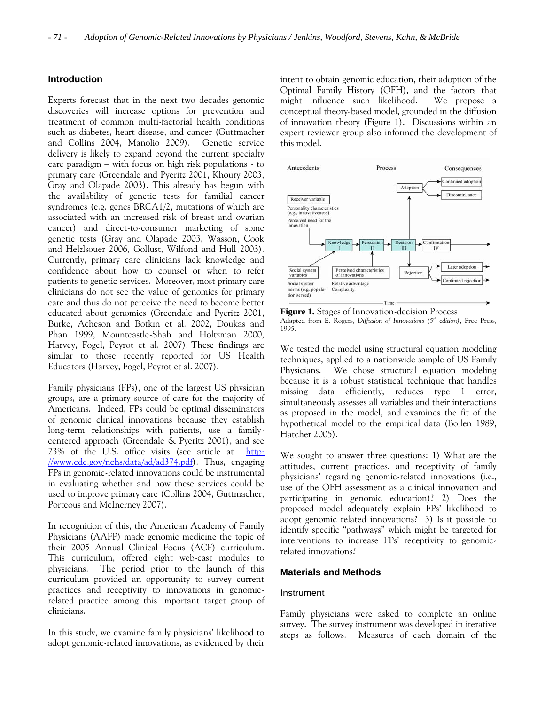# **Introduction**

Experts forecast that in the next two decades genomic discoveries will increase options for prevention and treatment of common multi-factorial health conditions such as diabetes, heart disease, and cancer (Guttmacher and Collins 2004, Manolio 2009). Genetic service delivery is likely to expand beyond the current specialty care paradigm – with focus on high risk populations - to primary care (Greendale and Pyeritz 2001, Khoury 2003, Gray and Olapade 2003). This already has begun with the availability of genetic tests for familial cancer syndromes (e.g. genes BRCA1/2, mutations of which are associated with an increased risk of breast and ovarian cancer) and direct-to-consumer marketing of some genetic tests (Gray and Olapade 2003, Wasson, Cook and Helzlsouer 2006, Gollust, Wilfond and Hull 2003). Currently, primary care clinicians lack knowledge and confidence about how to counsel or when to refer patients to genetic services. Moreover, most primary care clinicians do not see the value of genomics for primary care and thus do not perceive the need to become better educated about genomics (Greendale and Pyeritz 2001, Burke, Acheson and Botkin et al. 2002, Doukas and Phan 1999, Mountcastle-Shah and Holtzman 2000, Harvey, Fogel, Peyrot et al. 2007). These findings are similar to those recently reported for US Health Educators (Harvey, Fogel, Peyrot et al. 2007).

Family physicians (FPs), one of the largest US physician groups, are a primary source of care for the majority of Americans. Indeed, FPs could be optimal disseminators of genomic clinical innovations because they establish long-term relationships with patients, use a familycentered approach (Greendale & Pyeritz 2001), and see 23% of the U.S. office visits (see article at [http:](http://www.cdc.gov/nchs/data/ad/ad374.pdf) [//www.cdc.gov/nchs/data/ad/ad374.pdf](http://www.cdc.gov/nchs/data/ad/ad374.pdf)). Thus, engaging FPs in genomic-related innovations could be instrumental in evaluating whether and how these services could be used to improve primary care (Collins 2004, Guttmacher, Porteous and McInerney 2007).

In recognition of this, the American Academy of Family Physicians (AAFP) made genomic medicine the topic of their 2005 Annual Clinical Focus (ACF) curriculum. This curriculum, offered eight web-cast modules to physicians. The period prior to the launch of this curriculum provided an opportunity to survey current practices and receptivity to innovations in genomicrelated practice among this important target group of clinicians.

In this study, we examine family physicians' likelihood to adopt genomic-related innovations, as evidenced by their intent to obtain genomic education, their adoption of the Optimal Family History (OFH), and the factors that might influence such likelihood. We propose a conceptual theory-based model, grounded in the diffusion of innovation theory (Figure 1). Discussions within an expert reviewer group also informed the development of this model.



 **Figure 1.** Stages of Innovation-decision Process Adapted from E. Rogers, *Diffusion of Innovations (5th edition)*, Free Press, 1995.

We tested the model using structural equation modeling techniques, applied to a nationwide sample of US Family Physicians. We chose structural equation modeling because it is a robust statistical technique that handles missing data efficiently, reduces type 1 error, simultaneously assesses all variables and their interactions as proposed in the model, and examines the fit of the hypothetical model to the empirical data (Bollen 1989, Hatcher 2005).

We sought to answer three questions: 1) What are the attitudes, current practices, and receptivity of family physicians' regarding genomic-related innovations (i.e., use of the OFH assessment as a clinical innovation and participating in genomic education)? 2) Does the proposed model adequately explain FPs' likelihood to adopt genomic related innovations? 3) Is it possible to identify specific "pathways" which might be targeted for interventions to increase FPs' receptivity to genomicrelated innovations?

# **Materials and Methods**

#### Instrument

Family physicians were asked to complete an online survey. The survey instrument was developed in iterative steps as follows. Measures of each domain of the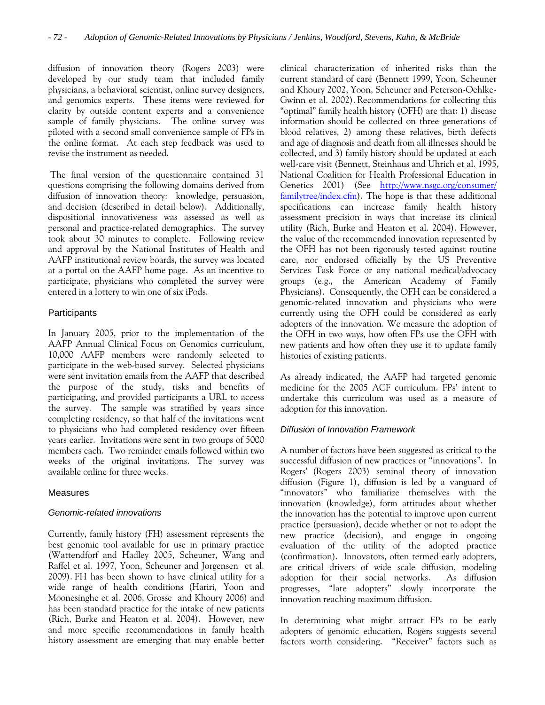diffusion of innovation theory (Rogers 2003) were developed by our study team that included family physicians, a behavioral scientist, online survey designers, and genomics experts. These items were reviewed for clarity by outside content experts and a convenience sample of family physicians. The online survey was piloted with a second small convenience sample of FPs in the online format. At each step feedback was used to revise the instrument as needed.

 The final version of the questionnaire contained 31 questions comprising the following domains derived from diffusion of innovation theory: knowledge, persuasion, and decision (described in detail below). Additionally, dispositional innovativeness was assessed as well as personal and practice-related demographics. The survey took about 30 minutes to complete. Following review and approval by the National Institutes of Health and AAFP institutional review boards, the survey was located at a portal on the AAFP home page. As an incentive to participate, physicians who completed the survey were entered in a lottery to win one of six iPods.

# **Participants**

In January 2005, prior to the implementation of the AAFP Annual Clinical Focus on Genomics curriculum, 10,000 AAFP members were randomly selected to participate in the web-based survey. Selected physicians were sent invitation emails from the AAFP that described the purpose of the study, risks and benefits of participating, and provided participants a URL to access the survey. The sample was stratified by years since completing residency, so that half of the invitations went to physicians who had completed residency over fifteen years earlier. Invitations were sent in two groups of 5000 members each. Two reminder emails followed within two weeks of the original invitations. The survey was available online for three weeks.

# Measures

# *Genomic-related innovations*

Currently, family history (FH) assessment represents the best genomic tool available for use in primary practice (Wattendforf and Hadley 2005, Scheuner, Wang and Raffel et al. 1997, Yoon, Scheuner and Jorgensen et al. 2009). FH has been shown to have clinical utility for a wide range of health conditions (Hariri, Yoon and Moonesinghe et al. 2006, Grosse and Khoury 2006) and has been standard practice for the intake of new patients (Rich, Burke and Heaton et al. 2004). However, new and more specific recommendations in family health history assessment are emerging that may enable better clinical characterization of inherited risks than the current standard of care (Bennett 1999, Yoon, Scheuner and Khoury 2002, Yoon, Scheuner and Peterson-Oehlke-Gwinn et al. 2002). Recommendations for collecting this "optimal" family health history (OFH) are that: 1) disease information should be collected on three generations of blood relatives, 2) among these relatives, birth defects and age of diagnosis and death from all illnesses should be collected, and 3) family history should be updated at each well-care visit (Bennett, Steinhaus and Uhrich et al. 1995, National Coalition for Health Professional Education in Genetics 2001) (See [http://www.nsgc.org/consumer/](http://www.nsgc.org/consumer/%20familytree/index.cfm)  [familytree/index.cfm](http://www.nsgc.org/consumer/%20familytree/index.cfm)). The hope is that these additional specifications can increase family health history assessment precision in ways that increase its clinical utility (Rich, Burke and Heaton et al. 2004). However, the value of the recommended innovation represented by the OFH has not been rigorously tested against routine care, nor endorsed officially by the US Preventive Services Task Force or any national medical/advocacy groups (e.g., the American Academy of Family Physicians). Consequently, the OFH can be considered a genomic-related innovation and physicians who were currently using the OFH could be considered as early adopters of the innovation. We measure the adoption of the OFH in two ways, how often FPs use the OFH with new patients and how often they use it to update family histories of existing patients.

As already indicated, the AAFP had targeted genomic medicine for the 2005 ACF curriculum. FPs' intent to undertake this curriculum was used as a measure of adoption for this innovation.

# *Diffusion of Innovation Framework*

A number of factors have been suggested as critical to the successful diffusion of new practices or "innovations". In Rogers' (Rogers 2003) seminal theory of innovation diffusion (Figure 1), diffusion is led by a vanguard of "innovators" who familiarize themselves with the innovation (knowledge), form attitudes about whether the innovation has the potential to improve upon current practice (persuasion), decide whether or not to adopt the new practice (decision), and engage in ongoing evaluation of the utility of the adopted practice (confirmation). Innovators, often termed early adopters, are critical drivers of wide scale diffusion, modeling adoption for their social networks. As diffusion progresses, "late adopters" slowly incorporate the innovation reaching maximum diffusion.

In determining what might attract FPs to be early adopters of genomic education, Rogers suggests several factors worth considering. "Receiver" factors such as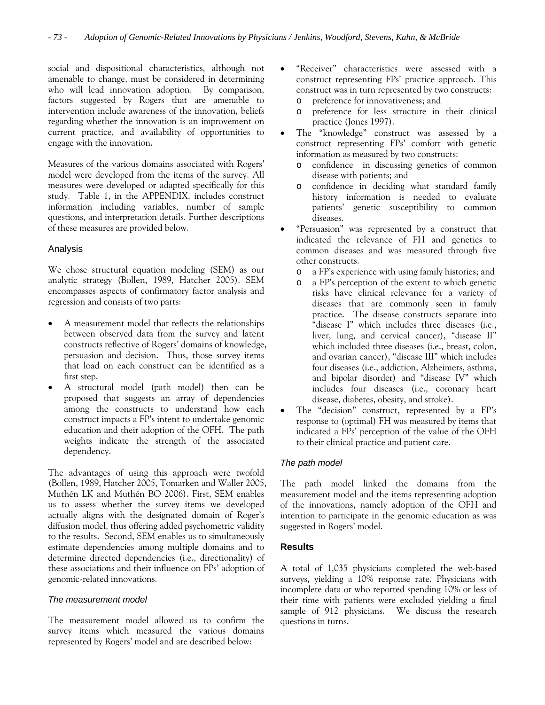social and dispositional characteristics, although not amenable to change, must be considered in determining who will lead innovation adoption. By comparison, factors suggested by Rogers that are amenable to intervention include awareness of the innovation, beliefs regarding whether the innovation is an improvement on current practice, and availability of opportunities to engage with the innovation.

Measures of the various domains associated with Rogers' model were developed from the items of the survey. All measures were developed or adapted specifically for this study. Table 1, in the APPENDIX, includes construct information including variables, number of sample questions, and interpretation details. Further descriptions of these measures are provided below.

# Analysis

We chose structural equation modeling (SEM) as our analytic strategy (Bollen, 1989, Hatcher 2005). SEM encompasses aspects of confirmatory factor analysis and regression and consists of two parts:

- A measurement model that reflects the relationships between observed data from the survey and latent constructs reflective of Rogers' domains of knowledge, persuasion and decision. Thus, those survey items that load on each construct can be identified as a first step.
- A structural model (path model) then can be proposed that suggests an array of dependencies among the constructs to understand how each construct impacts a FP's intent to undertake genomic education and their adoption of the OFH. The path weights indicate the strength of the associated dependency.

The advantages of using this approach were twofold (Bollen, 1989, Hatcher 2005, Tomarken and Waller 2005, Muthén LK and Muthén BO 2006). First, SEM enables us to assess whether the survey items we developed actually aligns with the designated domain of Roger's diffusion model, thus offering added psychometric validity to the results. Second, SEM enables us to simultaneously estimate dependencies among multiple domains and to determine directed dependencies (i.e., directionality) of these associations and their influence on FPs' adoption of genomic-related innovations.

# *The measurement model*

The measurement model allowed us to confirm the survey items which measured the various domains represented by Rogers' model and are described below:

- "Receiver" characteristics were assessed with a construct representing FPs' practice approach. This construct was in turn represented by two constructs:
	- o preference for innovativeness; and
	- o preference for less structure in their clinical practice (Jones 1997).
- The "knowledge" construct was assessed by a construct representing FPs' comfort with genetic information as measured by two constructs:
	- o confidence in discussing genetics of common disease with patients; and
	- o confidence in deciding what standard family history information is needed to evaluate patients' genetic susceptibility to common diseases.
- "Persuasion" was represented by a construct that indicated the relevance of FH and genetics to common diseases and was measured through five other constructs.
	- o a FP's experience with using family histories; and
	- o a FP's perception of the extent to which genetic risks have clinical relevance for a variety of diseases that are commonly seen in family practice. The disease constructs separate into "disease I" which includes three diseases (i.e., liver, lung, and cervical cancer), "disease II" which included three diseases (i.e., breast, colon, and ovarian cancer), "disease III" which includes four diseases (i.e., addiction, Alzheimers, asthma, and bipolar disorder) and "disease IV" which includes four diseases (i.e., coronary heart disease, diabetes, obesity, and stroke).
- The "decision" construct, represented by a FP's response to (optimal) FH was measured by items that indicated a FPs' perception of the value of the OFH to their clinical practice and patient care.

# *The path model*

The path model linked the domains from the measurement model and the items representing adoption of the innovations, namely adoption of the OFH and intention to participate in the genomic education as was suggested in Rogers' model.

# **Results**

A total of 1,035 physicians completed the web-based surveys, yielding a 10% response rate. Physicians with incomplete data or who reported spending 10% or less of their time with patients were excluded yielding a final sample of 912 physicians. We discuss the research questions in turns.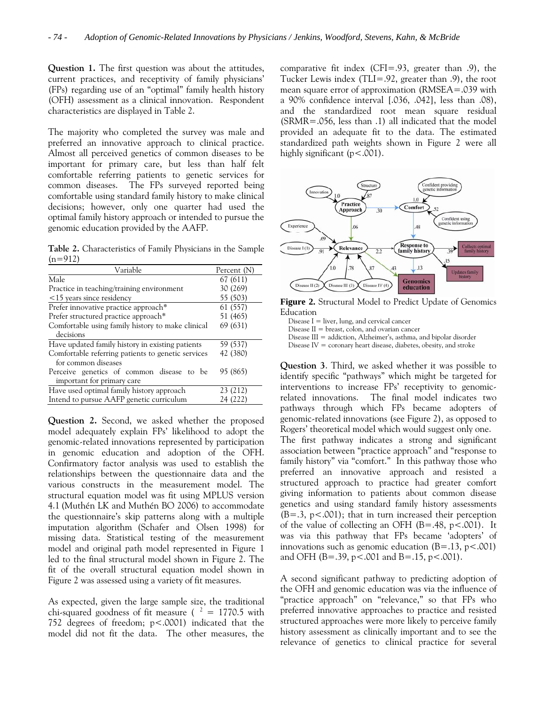**Question 1.** The first question was about the attitudes, current practices, and receptivity of family physicians' (FPs) regarding use of an "optimal" family health history (OFH) assessment as a clinical innovation. Respondent characteristics are displayed in Table 2.

The majority who completed the survey was male and preferred an innovative approach to clinical practice. Almost all perceived genetics of common diseases to be important for primary care, but less than half felt comfortable referring patients to genetic services for common diseases. The FPs surveyed reported being comfortable using standard family history to make clinical decisions; however, only one quarter had used the optimal family history approach or intended to pursue the genomic education provided by the AAFP.

**Table 2.** Characteristics of Family Physicians in the Sample  $(n=912)$ 

| Variable                                           | Percent (N) |
|----------------------------------------------------|-------------|
| Male                                               | 67 (611)    |
| Practice in teaching/training environment          | 30 (269)    |
| $\leq$ 15 years since residency                    | 55 (503)    |
| Prefer innovative practice approach*               | 61 (557)    |
| Prefer structured practice approach*               | 51 (465)    |
| Comfortable using family history to make clinical  | 69 (631)    |
| decisions                                          |             |
| Have updated family history in existing patients   | 59 (537)    |
| Comfortable referring patients to genetic services | 42 (380)    |
| for common diseases                                |             |
| Perceive genetics of common disease to be          | 95 (865)    |
| important for primary care                         |             |
| Have used optimal family history approach          | 23 (212)    |
| Intend to pursue AAFP genetic curriculum           | 24 (222)    |
|                                                    |             |

**Question 2.** Second, we asked whether the proposed model adequately explain FPs' likelihood to adopt the genomic-related innovations represented by participation in genomic education and adoption of the OFH. Confirmatory factor analysis was used to establish the relationships between the questionnaire data and the various constructs in the measurement model. The structural equation model was fit using MPLUS version 4.1 (Muthén LK and Muthén BO 2006) to accommodate the questionnaire's skip patterns along with a multiple imputation algorithm (Schafer and Olsen 1998) for missing data. Statistical testing of the measurement model and original path model represented in Figure 1 led to the final structural model shown in Figure 2. The fit of the overall structural equation model shown in Figure 2 was assessed using a variety of fit measures.

As expected, given the large sample size, the traditional chi-squared goodness of fit measure ( $^2 = 1770.5$  with 752 degrees of freedom; p<.0001) indicated that the model did not fit the data. The other measures, the

comparative fit index (CFI=.93, greater than .9), the Tucker Lewis index (TLI=.92, greater than .9), the root mean square error of approximation (RMSEA=.039 with a 90% confidence interval [.036, .042], less than .08), and the standardized root mean square residual (SRMR=.056, less than .1) all indicated that the model provided an adequate fit to the data. The estimated standardized path weights shown in Figure 2 were all highly significant (p<.001).



**Figure 2.** Structural Model to Predict Update of Genomics Education

Disease  $I =$  liver, lung, and cervical cancer Disease  $II =$  breast, colon, and ovarian cancer Disease III = addiction, Alzheimer's, asthma, and bipolar disorder Disease  $IV =$  coronary heart disease, diabetes, obesity, and stroke

**Question 3**. Third, we asked whether it was possible to identify specific "pathways" which might be targeted for interventions to increase FPs' receptivity to genomicrelated innovations. The final model indicates two pathways through which FPs became adopters of genomic-related innovations (see Figure 2), as opposed to Rogers' theoretical model which would suggest only one. The first pathway indicates a strong and significant association between "practice approach" and "response to family history" via "comfort." In this pathway those who preferred an innovative approach and resisted a structured approach to practice had greater comfort giving information to patients about common disease genetics and using standard family history assessments  $(B=.3, p<.001)$ ; that in turn increased their perception of the value of collecting an OFH  $(B=.48, p<.001)$ . It was via this pathway that FPs became 'adopters' of innovations such as genomic education  $(B=.13, p<.001)$ and OFH (B=.39, p<.001 and B=.15, p<.001).

A second significant pathway to predicting adoption of the OFH and genomic education was via the influence of "practice approach" on "relevance," so that FPs who preferred innovative approaches to practice and resisted structured approaches were more likely to perceive family history assessment as clinically important and to see the relevance of genetics to clinical practice for several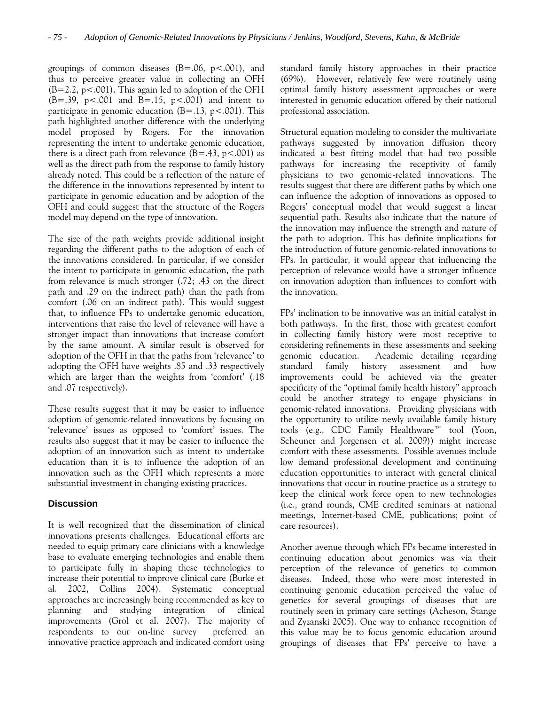groupings of common diseases  $(B=.06, p<.001)$ , and thus to perceive greater value in collecting an OFH  $(B=2.2, p<.001)$ . This again led to adoption of the OFH  $(B=.39, p<.001$  and  $B=.15, p<.001$ ) and intent to participate in genomic education  $(B=.13, p<.001)$ . This path highlighted another difference with the underlying model proposed by Rogers. For the innovation representing the intent to undertake genomic education, there is a direct path from relevance  $(B=.43, p<.001)$  as well as the direct path from the response to family history already noted. This could be a reflection of the nature of the difference in the innovations represented by intent to participate in genomic education and by adoption of the OFH and could suggest that the structure of the Rogers model may depend on the type of innovation.

The size of the path weights provide additional insight regarding the different paths to the adoption of each of the innovations considered. In particular, if we consider the intent to participate in genomic education, the path from relevance is much stronger (.72; .43 on the direct path and .29 on the indirect path) than the path from comfort (.06 on an indirect path). This would suggest that, to influence FPs to undertake genomic education, interventions that raise the level of relevance will have a stronger impact than innovations that increase comfort by the same amount. A similar result is observed for adoption of the OFH in that the paths from 'relevance' to adopting the OFH have weights .85 and .33 respectively which are larger than the weights from 'comfort' (.18 and .07 respectively).

These results suggest that it may be easier to influence adoption of genomic-related innovations by focusing on 'relevance' issues as opposed to 'comfort' issues. The results also suggest that it may be easier to influence the adoption of an innovation such as intent to undertake education than it is to influence the adoption of an innovation such as the OFH which represents a more substantial investment in changing existing practices.

# **Discussion**

It is well recognized that the dissemination of clinical innovations presents challenges. Educational efforts are needed to equip primary care clinicians with a knowledge base to evaluate emerging technologies and enable them to participate fully in shaping these technologies to increase their potential to improve clinical care (Burke et al. 2002, Collins 2004). Systematic conceptual approaches are increasingly being recommended as key to planning and studying integration of clinical improvements (Grol et al. 2007). The majority of respondents to our on-line survey preferred an innovative practice approach and indicated comfort using standard family history approaches in their practice (69%). However, relatively few were routinely using optimal family history assessment approaches or were interested in genomic education offered by their national professional association.

Structural equation modeling to consider the multivariate pathways suggested by innovation diffusion theory indicated a best fitting model that had two possible pathways for increasing the receptivity of family physicians to two genomic-related innovations. The results suggest that there are different paths by which one can influence the adoption of innovations as opposed to Rogers' conceptual model that would suggest a linear sequential path. Results also indicate that the nature of the innovation may influence the strength and nature of the path to adoption. This has definite implications for the introduction of future genomic-related innovations to FPs. In particular, it would appear that influencing the perception of relevance would have a stronger influence on innovation adoption than influences to comfort with the innovation.

FPs' inclination to be innovative was an initial catalyst in both pathways. In the first, those with greatest comfort in collecting family history were most receptive to considering refinements in these assessments and seeking genomic education. Academic detailing regarding standard family history assessment and how improvements could be achieved via the greater specificity of the "optimal family health history" approach could be another strategy to engage physicians in genomic-related innovations. Providing physicians with the opportunity to utilize newly available family history tools (e.g., CDC Family Healthware™ tool (Yoon, Scheuner and Jorgensen et al. 2009)) might increase comfort with these assessments. Possible avenues include low demand professional development and continuing education opportunities to interact with general clinical innovations that occur in routine practice as a strategy to keep the clinical work force open to new technologies (i.e., grand rounds, CME credited seminars at national meetings, Internet-based CME, publications; point of care resources).

Another avenue through which FPs became interested in continuing education about genomics was via their perception of the relevance of genetics to common diseases. Indeed, those who were most interested in continuing genomic education perceived the value of genetics for several groupings of diseases that are routinely seen in primary care settings (Acheson, Stange and Zyzanski 2005). One way to enhance recognition of this value may be to focus genomic education around groupings of diseases that FPs' perceive to have a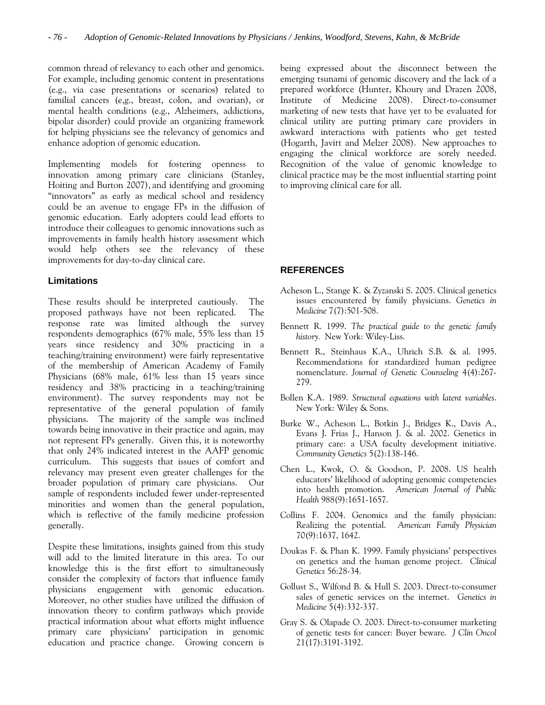common thread of relevancy to each other and genomics. For example, including genomic content in presentations (e.g., via case presentations or scenarios) related to familial cancers (e,g., breast, colon, and ovarian), or mental health conditions (e.g., Alzheimers, addictions, bipolar disorder) could provide an organizing framework for helping physicians see the relevancy of genomics and enhance adoption of genomic education.

Implementing models for fostering openness to innovation among primary care clinicians (Stanley, Hoiting and Burton 2007), and identifying and grooming "innovators" as early as medical school and residency could be an avenue to engage FPs in the diffusion of genomic education. Early adopters could lead efforts to introduce their colleagues to genomic innovations such as improvements in family health history assessment which would help others see the relevancy of these improvements for day-to-day clinical care.

# **Limitations**

These results should be interpreted cautiously. The proposed pathways have not been replicated. The response rate was limited although the survey respondents demographics (67% male, 55% less than 15 years since residency and 30% practicing in a teaching/training environment) were fairly representative of the membership of American Academy of Family Physicians (68% male, 61% less than 15 years since residency and 38% practicing in a teaching/training environment). The survey respondents may not be representative of the general population of family physicians. The majority of the sample was inclined towards being innovative in their practice and again, may not represent FPs generally. Given this, it is noteworthy that only 24% indicated interest in the AAFP genomic curriculum. This suggests that issues of comfort and relevancy may present even greater challenges for the broader population of primary care physicians. Our sample of respondents included fewer under-represented minorities and women than the general population, which is reflective of the family medicine profession generally.

Despite these limitations, insights gained from this study will add to the limited literature in this area. To our knowledge this is the first effort to simultaneously consider the complexity of factors that influence family physicians engagement with genomic education. Moreover, no other studies have utilized the diffusion of innovation theory to confirm pathways which provide practical information about what efforts might influence primary care physicians' participation in genomic education and practice change. Growing concern is

being expressed about the disconnect between the emerging tsunami of genomic discovery and the lack of a prepared workforce (Hunter, Khoury and Drazen 2008, Institute of Medicine 2008). Direct-to-consumer marketing of new tests that have yet to be evaluated for clinical utility are putting primary care providers in awkward interactions with patients who get tested (Hogarth, Javitt and Melzer 2008). New approaches to engaging the clinical workforce are sorely needed. Recognition of the value of genomic knowledge to clinical practice may be the most influential starting point to improving clinical care for all.

# **REFERENCES**

- Acheson L., Stange K. & Zyzanski S. 2005. Clinical genetics issues encountered by family physicians. *Genetics in Medicine* 7(7):501-508.
- Bennett R. 1999. *The practical guide to the genetic family history.* New York: Wiley-Liss.
- Bennett R., Steinhaus K.A., Uhrich S.B. & al. 1995. Recommendations for standardized human pedigree nomenclature. *Journal of Genetic Counseling* 4(4):267- 279.
- Bollen K.A. 1989. *Structural equations with latent variables*. New York: Wiley & Sons.
- Burke W., Acheson L., Botkin J., Bridges K., Davis A., Evans J. Frias J., Hanson J. & al. 2002. Genetics in primary care: a USA faculty development initiative. *Community Genetics* 5(2):138-146.
- Chen L., Kwok, O. & Goodson, P. 2008. US health educators' likelihood of adopting genomic competencies into health promotion. *American Journal of Public Health* 988(9):1651-1657.
- Collins F. 2004. Genomics and the family physician: Realizing the potential. *American Family Physician* 70(9):1637, 1642.
- Doukas F. & Phan K. 1999. Family physicians' perspectives on genetics and the human genome project. *Clinical Genetics* 56:28-34.
- Gollust S., Wilfond B. & Hull S. 2003. Direct-to-consumer sales of genetic services on the internet. *Genetics in Medicine* 5(4):332-337.
- Gray S. & Olapade O. 2003. Direct-to-consumer marketing of genetic tests for cancer: Buyer beware. *J Clin Oncol* 21(17):3191-3192.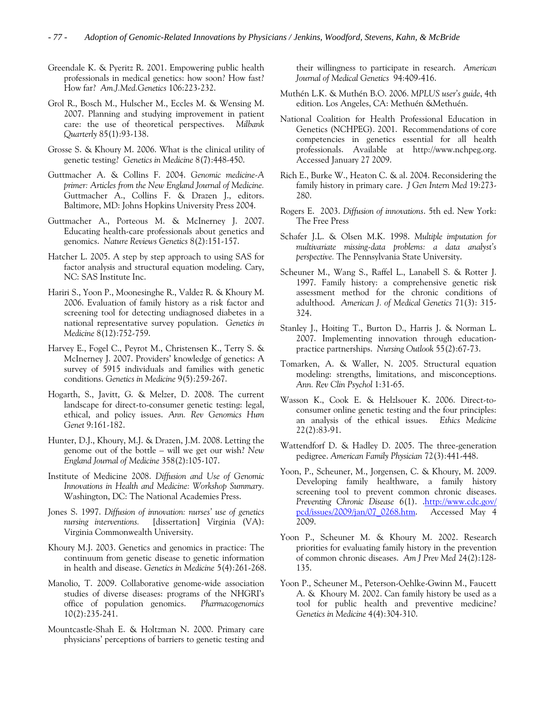- Greendale K. & Pyeritz R. 2001. Empowering public health professionals in medical genetics: how soon? How fast? How far? *Am.J.Med.Genetics* 106:223-232.
- Grol R., Bosch M., Hulscher M., Eccles M. & Wensing M. 2007. Planning and studying improvement in patient care: the use of theoretical perspectives. *Milbank Quarterly* 85(1):93-138.
- Grosse S. & Khoury M. 2006. What is the clinical utility of genetic testing? *Genetics in Medicine* 8(7):448-450.
- Guttmacher A. & Collins F. 2004. *Genomic medicine-A primer: Articles from the New England Journal of Medicine.* Guttmacher A., Collins F. & Drazen J., editors. Baltimore, MD: Johns Hopkins University Press 2004.
- Guttmacher A., Porteous M. & McInerney J. 2007. Educating health-care professionals about genetics and genomics. *Nature Reviews Genetics* 8(2):151-157.
- Hatcher L. 2005. A step by step approach to using SAS for factor analysis and structural equation modeling. Cary, NC: SAS Institute Inc.
- Hariri S., Yoon P., Moonesinghe R., Valdez R. & Khoury M. 2006. Evaluation of family history as a risk factor and screening tool for detecting undiagnosed diabetes in a national representative survey population. *Genetics in Medicine* 8(12):752-759.
- Harvey E., Fogel C., Peyrot M., Christensen K., Terry S. & McInerney J. 2007. Providers' knowledge of genetics: A survey of 5915 individuals and families with genetic conditions. *Genetics in Medicine* 9(5):259-267.
- Hogarth, S., Javitt, G. & Melzer, D. 2008. The current landscape for direct-to-consumer genetic testing: legal, ethical, and policy issues. *Ann. Rev Genomics Hum Genet* 9:161-182.
- Hunter, D.J., Khoury, M.J. & Drazen, J.M. 2008. Letting the genome out of the bottle – will we get our wish? *New England Journal of Medicine* 358(2):105-107.
- Institute of Medicine 2008. *Diffusion and Use of Genomic Innovations in Health and Medicine: Workshop Summary.* Washington, DC: The National Academies Press.
- Jones S. 1997. *Diffusion of innovation: nurses' use of genetics nursing interventions.* [dissertation] Virginia (VA): Virginia Commonwealth University.
- Khoury M.J. 2003. Genetics and genomics in practice: The continuum from genetic disease to genetic information in health and disease. *Genetics in Medicine* 5(4):261-268.
- Manolio, T. 2009. Collaborative genome-wide association studies of diverse diseases: programs of the NHGRI's office of population genomics. *Pharmacogenomics* 10(2):235-241.
- Mountcastle-Shah E. & Holtzman N. 2000. Primary care physicians' perceptions of barriers to genetic testing and

their willingness to participate in research. *American Journal of Medical Genetics* 94:409-416.

- Muthén L.K. & Muthén B.O. 2006. *MPLUS user's guide*, 4th edition. Los Angeles, CA: Methuén &Methuén.
- National Coalition for Health Professional Education in Genetics (NCHPEG). 2001. Recommendations of core competencies in genetics essential for all health professionals. Available at [http://www.nchpeg.org](http://www.nchpeg.org/). Accessed January 27 2009.
- Rich E., Burke W., Heaton C. & al. 2004. Reconsidering the family history in primary care. *J Gen Intern Med* 19:273- 280.
- Rogers E. 2003. *Diffusion of innovations*. 5th ed. New York: The Free Press
- Schafer J.L. & Olsen M.K. 1998. *Multiple imputation for multivariate missing-data problems: a data analyst's perspective.* The Pennsylvania State University.
- Scheuner M., Wang S., Raffel L., Lanabell S. & Rotter J. 1997. Family history: a comprehensive genetic risk assessment method for the chronic conditions of adulthood. *American J. of Medical Genetics* 71(3): 315- 324.
- Stanley J., Hoiting T., Burton D., Harris J. & Norman L. 2007. Implementing innovation through educationpractice partnerships. *Nursing Outlook* 55(2):67-73.
- Tomarken, A. & Waller, N. 2005. Structural equation modeling: strengths, limitations, and misconceptions. *Ann. Rev Clin Psychol* 1:31-65.
- Wasson K., Cook E. & Helzlsouer K. 2006. Direct-toconsumer online genetic testing and the four principles: an analysis of the ethical issues. *Ethics Medicine*  22(2):83-91.
- Wattendforf D. & Hadley D. 2005. The three-generation pedigree. *American Family Physician* 72(3):441-448.
- Yoon, P., Scheuner, M., Jorgensen, C. & Khoury, M. 2009. Developing family healthware, a family history screening tool to prevent common chronic diseases. *Preventing Chronic Disease* 6(1). [.http://www.cdc.gov/](http://www.cdc.gov/%20pcd/issues/2009/jan/07_0268.htm)  [pcd/issues/2009/jan/07\\_0268.htm.](http://www.cdc.gov/%20pcd/issues/2009/jan/07_0268.htm) Accessed May 4 2009.
- Yoon P., Scheuner M. & Khoury M. 2002. Research priorities for evaluating family history in the prevention of common chronic diseases. *Am J Prev Med* 24(2):128- 135.
- Yoon P., Scheuner M., Peterson-Oehlke-Gwinn M., Faucett A. & Khoury M. 2002. Can family history be used as a tool for public health and preventive medicine? *Genetics in Medicine* 4(4):304-310.